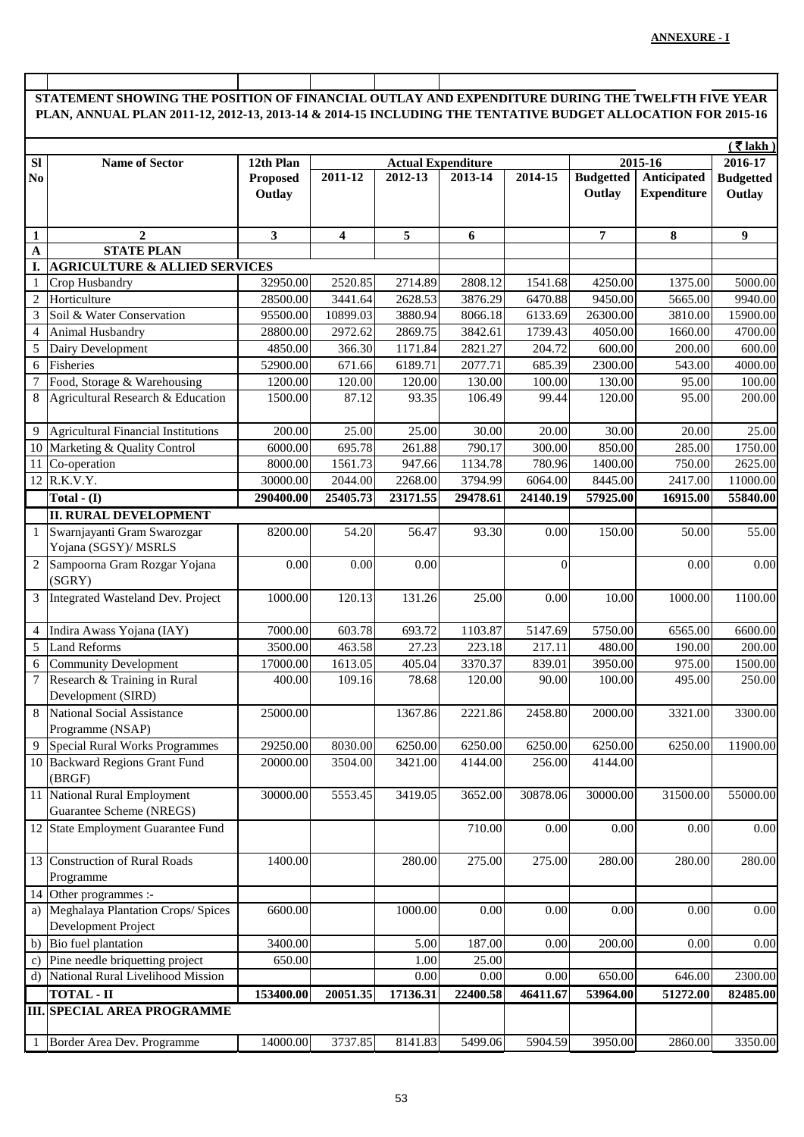## **STATEMENT SHOWING THE POSITION OF FINANCIAL OUTLAY AND EXPENDITURE DURING THE TWELFTH FIVE YEAR PLAN, ANNUAL PLAN 2011-12, 2012-13, 2013-14 & 2014-15 INCLUDING THE TENTATIVE BUDGET ALLOCATION FOR 2015-16**

|                | $($ ₹ lakh)                                              |                 |                                      |          |                      |          |                  |                    |                  |
|----------------|----------------------------------------------------------|-----------------|--------------------------------------|----------|----------------------|----------|------------------|--------------------|------------------|
| SI             | <b>Name of Sector</b>                                    | 12th Plan       | 2015-16<br><b>Actual Expenditure</b> |          |                      |          |                  |                    | 2016-17          |
| N <sub>0</sub> |                                                          | <b>Proposed</b> | 2011-12                              | 2012-13  | 2013-14              | 2014-15  | <b>Budgetted</b> | Anticipated        | <b>Budgetted</b> |
|                |                                                          | Outlay          |                                      |          |                      |          | Outlay           | <b>Expenditure</b> | Outlay           |
|                |                                                          |                 |                                      |          |                      |          |                  |                    |                  |
| $\mathbf{1}$   | $\overline{2}$                                           | $\mathbf{3}$    | $\overline{\mathbf{4}}$              | 5        | 6                    |          | $\overline{7}$   | 8                  | 9                |
| $\mathbf{A}$   | <b>STATE PLAN</b>                                        |                 |                                      |          |                      |          |                  |                    |                  |
| I.             | <b>AGRICULTURE &amp; ALLIED SERVICES</b>                 |                 |                                      |          |                      |          |                  |                    |                  |
|                | Crop Husbandry                                           | 32950.00        | 2520.85                              | 2714.89  | 2808.12              | 1541.68  | 4250.00          | 1375.00            | 5000.00          |
| 2              | Horticulture                                             | 28500.00        | 3441.64                              | 2628.53  | 3876.29              | 6470.88  | 9450.00          | 5665.00            | 9940.00          |
| 3              | Soil & Water Conservation                                | 95500.00        | 10899.03                             | 3880.94  | 8066.18              | 6133.69  | 26300.00         | 3810.00            | 15900.00         |
| $\overline{4}$ | Animal Husbandry                                         | 28800.00        | 2972.62                              | 2869.75  | 3842.61              | 1739.43  | 4050.00          | 1660.00            | 4700.00          |
| 5              | Dairy Development                                        | 4850.00         | 366.30                               | 1171.84  | 2821.27              | 204.72   | 600.00           | 200.00             | 600.00           |
| 6              | Fisheries                                                | 52900.00        | 671.66                               | 6189.71  | 2077.71              | 685.39   | 2300.00          | 543.00             | 4000.00          |
| 7              | Food, Storage & Warehousing                              | 1200.00         | 120.00                               | 120.00   | 130.00               | 100.00   | 130.00           | 95.00              | 100.00           |
| 8              | Agricultural Research & Education                        | 1500.00         | 87.12                                | 93.35    | 106.49               | 99.44    | 120.00           | 95.00              | 200.00           |
| 9              | <b>Agricultural Financial Institutions</b>               | 200.00          | 25.00                                | 25.00    | 30.00                | 20.00    | 30.00            | 20.00              | 25.00            |
| 10             | Marketing & Quality Control                              | 6000.00         | 695.78                               | 261.88   | 790.17               | 300.00   | 850.00           | 285.00             | 1750.00          |
| 11             | Co-operation                                             | 8000.00         | 1561.73                              | 947.66   | 1134.78              | 780.96   | 1400.00          | 750.00             | 2625.00          |
|                | 12 R.K.V.Y.                                              | 30000.00        | 2044.00                              | 2268.00  | 3794.99              | 6064.00  | 8445.00          | 2417.00            | 11000.00         |
|                | Total - $(I)$                                            | 290400.00       | 25405.73                             | 23171.55 | 29478.61             | 24140.19 | 57925.00         | 16915.00           | 55840.00         |
|                | <b>II. RURAL DEVELOPMENT</b>                             |                 |                                      |          |                      |          |                  |                    |                  |
| $\mathbf{1}$   | Swarnjayanti Gram Swarozgar<br>Yojana (SGSY)/ MSRLS      | 8200.00         | 54.20                                | 56.47    | 93.30                | 0.00     | 150.00           | 50.00              | 55.00            |
| $\overline{2}$ | Sampoorna Gram Rozgar Yojana<br>(SGRY)                   | 0.00            | 0.00                                 | 0.00     |                      | $\Omega$ |                  | 0.00               | 0.00             |
| $\mathfrak{Z}$ | Integrated Wasteland Dev. Project                        | 1000.00         | 120.13                               | 131.26   | 25.00                | 0.00     | 10.00            | 1000.00            | 1100.00          |
| $\overline{4}$ | Indira Awass Yojana (IAY)                                | 7000.00         | 603.78                               | 693.72   | 1103.87              | 5147.69  | 5750.00          | 6565.00            | 6600.00          |
| 5              | <b>Land Reforms</b>                                      | 3500.00         | 463.58                               | 27.23    | 223.18               | 217.11   | 480.00           | 190.00             | 200.00           |
| 6              | <b>Community Development</b>                             | 17000.00        | 1613.05                              | 405.04   | 3370.37              | 839.01   | 3950.00          | 975.00             | 1500.00          |
| 7              | Research & Training in Rural<br>Development (SIRD)       | 400.00          | 109.16                               | 78.68    | 120.00               | 90.00    | 100.00           | 495.00             | 250.00           |
| 8              | <b>National Social Assistance</b><br>Programme (NSAP)    | 25000.00        |                                      | 1367.86  | 2221.86              | 2458.80  | 2000.00          | 3321.00            | 3300.00          |
|                | Special Rural Works Programmes                           | 29250.00        | 8030.00                              | 6250.00  | $\overline{6250.00}$ | 6250.00  | 6250.00          | 6250.00            | 11900.00         |
|                | 10 Backward Regions Grant Fund<br>(BRGF)                 | 20000.00        | 3504.00                              | 3421.00  | 4144.00              | 256.00   | 4144.00          |                    |                  |
|                | 11 National Rural Employment<br>Guarantee Scheme (NREGS) | 30000.00        | 5553.45                              | 3419.05  | 3652.00              | 30878.06 | 30000.00         | 31500.00           | 55000.00         |
|                | 12 State Employment Guarantee Fund                       |                 |                                      |          | 710.00               | 0.00     | 0.00             | 0.00               | 0.00             |
|                | 13 Construction of Rural Roads<br>Programme              | 1400.00         |                                      | 280.00   | 275.00               | 275.00   | 280.00           | 280.00             | 280.00           |
|                | 14 Other programmes :-                                   |                 |                                      |          |                      |          |                  |                    |                  |
|                | a) Meghalaya Plantation Crops/ Spices                    | 6600.00         |                                      | 1000.00  | 0.00                 | 0.00     | 0.00             | 0.00               | 0.00             |
|                | Development Project                                      |                 |                                      |          |                      |          |                  |                    |                  |
|                | b) Bio fuel plantation                                   | 3400.00         |                                      | 5.00     | 187.00               | 0.00     | 200.00           | 0.00               | 0.00             |
| $\mathbf{c})$  | Pine needle briquetting project                          | 650.00          |                                      | 1.00     | 25.00                |          |                  |                    |                  |
| d)             | National Rural Livelihood Mission                        |                 |                                      | 0.00     | 0.00                 | 0.00     | 650.00           | 646.00             | 2300.00          |
|                | <b>TOTAL - II</b>                                        | 153400.00       | 20051.35                             | 17136.31 | 22400.58             | 46411.67 | 53964.00         | 51272.00           | 82485.00         |
|                | <b>III. SPECIAL AREA PROGRAMME</b>                       |                 |                                      |          |                      |          |                  |                    |                  |
|                | 1 Border Area Dev. Programme                             | 14000.00        | 3737.85                              | 8141.83  | 5499.06              | 5904.59  | 3950.00          | 2860.00            | 3350.00          |
|                |                                                          |                 |                                      |          |                      |          |                  |                    |                  |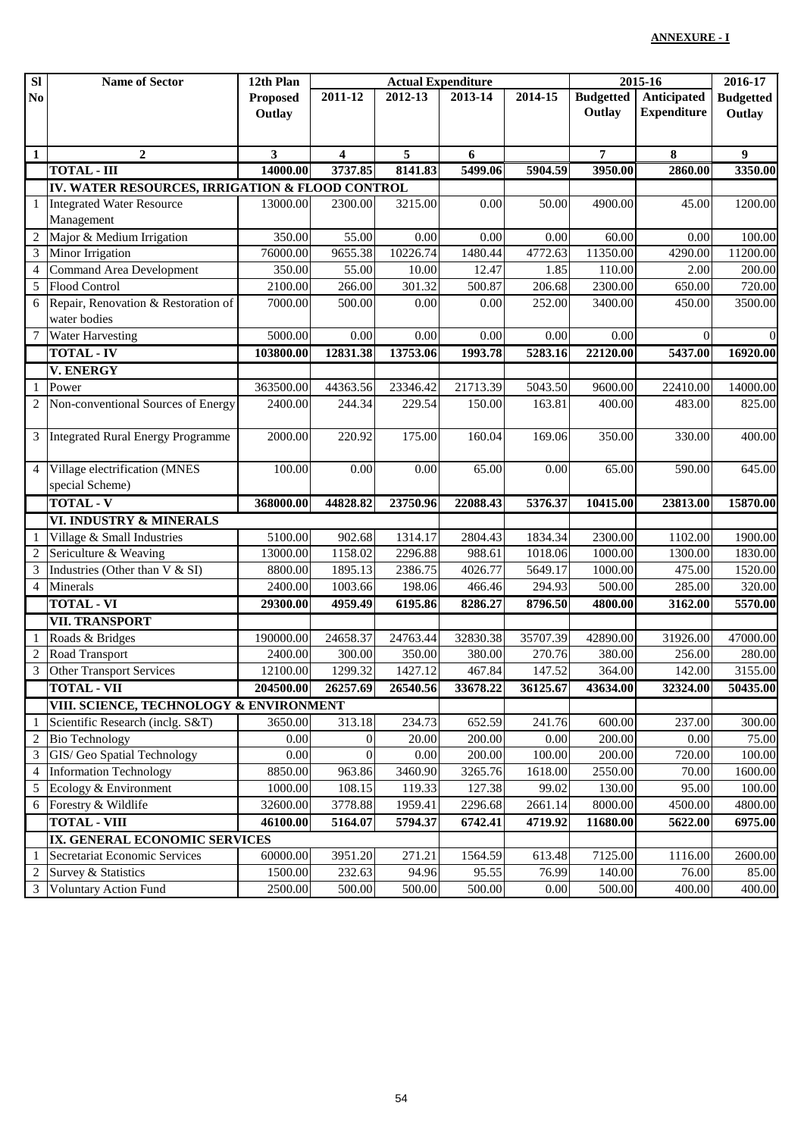| $\overline{\bf SI}$ | <b>Name of Sector</b>                           | 12th Plan           |                    | <b>Actual Expenditure</b> |                   |                    |                    | 2015-16            |                   |
|---------------------|-------------------------------------------------|---------------------|--------------------|---------------------------|-------------------|--------------------|--------------------|--------------------|-------------------|
| No                  |                                                 | <b>Proposed</b>     | 2011-12            | 2012-13                   | 2013-14           | 2014-15            | <b>Budgetted</b>   | Anticipated        | <b>Budgetted</b>  |
|                     |                                                 | Outlay              |                    |                           |                   |                    | Outlay             | <b>Expenditure</b> | Outlay            |
|                     |                                                 |                     |                    |                           |                   |                    |                    |                    |                   |
| $\mathbf{1}$        | $\overline{2}$                                  | 3                   | 4                  | 5                         | 6                 |                    | 7                  | 8                  | 9                 |
|                     | <b>TOTAL - III</b>                              | 14000.00            | 3737.85            | 8141.83                   | 5499.06           | 5904.59            | 3950.00            | 2860.00            | 3350.00           |
|                     | IV. WATER RESOURCES, IRRIGATION & FLOOD CONTROL |                     |                    |                           |                   |                    |                    |                    |                   |
| $\mathbf{1}$        | <b>Integrated Water Resource</b>                | 13000.00            | 2300.00            | 3215.00                   | 0.00              | 50.00              | 4900.00            | 45.00              | 1200.00           |
|                     | Management                                      |                     |                    |                           |                   |                    |                    |                    |                   |
| $\mathfrak{2}$      | Major & Medium Irrigation                       | 350.00              | 55.00              | 0.00                      | 0.00              | 0.00               | 60.00              | 0.00               | 100.00            |
| 3                   | Minor Irrigation                                | 76000.00            | 9655.38            | 10226.74                  | 1480.44           | 4772.63            | 11350.00           | 4290.00            | 11200.00          |
| $\overline{4}$      | Command Area Development                        | 350.00              | 55.00              | 10.00                     | 12.47             | 1.85               | 110.00             | 2.00               | 200.00            |
| 5                   | <b>Flood Control</b>                            | 2100.00             | 266.00             | 301.32                    | 500.87            | 206.68             | 2300.00            | 650.00             | 720.00            |
| 6                   | Repair, Renovation & Restoration of             | 7000.00             | 500.00             | 0.00                      | 0.00              | 252.00             | 3400.00            | 450.00             | 3500.00           |
|                     | water bodies                                    |                     |                    |                           |                   |                    |                    |                    |                   |
| $\overline{7}$      | <b>Water Harvesting</b>                         | 5000.00             | 0.00               | 0.00                      | 0.00              | 0.00               | 0.00               | $\Omega$           | $\overline{0}$    |
|                     | <b>TOTAL - IV</b>                               | 103800.00           | 12831.38           | 13753.06                  | 1993.78           | 5283.16            | 22120.00           | 5437.00            | 16920.00          |
|                     | <b>V. ENERGY</b>                                |                     |                    |                           |                   |                    |                    |                    |                   |
| 1                   | Power                                           | 363500.00           | 44363.56           | 23346.42                  | 21713.39          | 5043.50            | 9600.00            | 22410.00           | 14000.00          |
|                     | 2 Non-conventional Sources of Energy            | 2400.00             | 244.34             | 229.54                    | 150.00            | 163.81             | 400.00             | 483.00             | 825.00            |
|                     | 3 Integrated Rural Energy Programme             | 2000.00             | 220.92             | 175.00                    | 160.04            | 169.06             | 350.00             | 330.00             | 400.00            |
| $\overline{4}$      | Village electrification (MNES                   | 100.00              | 0.00               | 0.00                      | 65.00             | 0.00               | 65.00              | 590.00             | 645.00            |
|                     | special Scheme)                                 |                     |                    |                           |                   |                    |                    |                    |                   |
|                     | <b>TOTAL - V</b>                                | 368000.00           | 44828.82           | 23750.96                  | 22088.43          | 5376.37            | 10415.00           | 23813.00           | 15870.00          |
|                     | VI. INDUSTRY & MINERALS                         |                     |                    |                           |                   |                    |                    |                    |                   |
| $\overline{2}$      | Village & Small Industries                      | 5100.00<br>13000.00 | 902.68<br>1158.02  | 1314.17<br>2296.88        | 2804.43<br>988.61 | 1834.34<br>1018.06 | 2300.00<br>1000.00 | 1102.00<br>1300.00 | 1900.00           |
| 3                   | Sericulture & Weaving                           |                     |                    |                           |                   |                    | 1000.00            | 475.00             | 1830.00           |
| $\overline{4}$      | Industries (Other than V & SI)<br>Minerals      | 8800.00<br>2400.00  | 1895.13<br>1003.66 | 2386.75<br>198.06         | 4026.77<br>466.46 | 5649.17<br>294.93  | 500.00             | 285.00             | 1520.00<br>320.00 |
|                     | <b>TOTAL - VI</b>                               |                     | 4959.49            | 6195.86                   | 8286.27           | 8796.50            | 4800.00            | 3162.00            | 5570.00           |
|                     | <b>VII. TRANSPORT</b>                           | 29300.00            |                    |                           |                   |                    |                    |                    |                   |
|                     | Roads & Bridges                                 | 190000.00           | 24658.37           | 24763.44                  | 32830.38          | 35707.39           | 42890.00           | 31926.00           | 47000.00          |
| $\overline{c}$      | Road Transport                                  | 2400.00             | 300.00             | 350.00                    | 380.00            | 270.76             | 380.00             | 256.00             | 280.00            |
|                     | 3 Other Transport Services                      | 12100.00            | 1299.32            | 1427.12                   | 467.84            | 147.52             | 364.00             | 142.00             | 3155.00           |
|                     | <b>TOTAL - VII</b>                              | 204500.00           | 26257.69           | 26540.56                  | 33678.22          | 36125.67           | 43634.00           | 32324.00           | 50435.00          |
|                     | VIII. SCIENCE, TECHNOLOGY & ENVIRONMENT         |                     |                    |                           |                   |                    |                    |                    |                   |
| -1                  | Scientific Research (inclg. S&T)                | 3650.00             | 313.18             | 234.73                    | 652.59            | 241.76             | 600.00             | 237.00             | 300.00            |
| $\overline{2}$      | <b>Bio Technology</b>                           | 0.00                | $\mathbf{0}$       | 20.00                     | 200.00            | 0.00               | 200.00             | 0.00               | 75.00             |
| 3                   | GIS/ Geo Spatial Technology                     | 0.00                | $\overline{0}$     | 0.00                      | 200.00            | 100.00             | 200.00             | 720.00             | 100.00            |
| $\overline{4}$      | <b>Information Technology</b>                   | 8850.00             | 963.86             | 3460.90                   | 3265.76           | 1618.00            | 2550.00            | 70.00              | 1600.00           |
| $\overline{5}$      | Ecology & Environment                           | 1000.00             | 108.15             | 119.33                    | 127.38            | 99.02              | 130.00             | 95.00              | 100.00            |
|                     | 6 Forestry & Wildlife                           | 32600.00            | 3778.88            | 1959.41                   | 2296.68           | 2661.14            | 8000.00            | 4500.00            | 4800.00           |
|                     | <b>TOTAL - VIII</b>                             | 46100.00            | 5164.07            | 5794.37                   | 6742.41           | 4719.92            | 11680.00           | 5622.00            | 6975.00           |
|                     | IX. GENERAL ECONOMIC SERVICES                   |                     |                    |                           |                   |                    |                    |                    |                   |
| -1                  | Secretariat Economic Services                   | 60000.00            | 3951.20            | 271.21                    | 1564.59           | 613.48             | 7125.00            | 1116.00            | 2600.00           |
| $\overline{c}$      | Survey & Statistics                             | 1500.00             | 232.63             | 94.96                     | 95.55             | 76.99              | 140.00             | 76.00              | 85.00             |
| $\mathfrak{Z}$      | <b>Voluntary Action Fund</b>                    | 2500.00             | 500.00             | 500.00                    | 500.00            | 0.00               | 500.00             | 400.00             | 400.00            |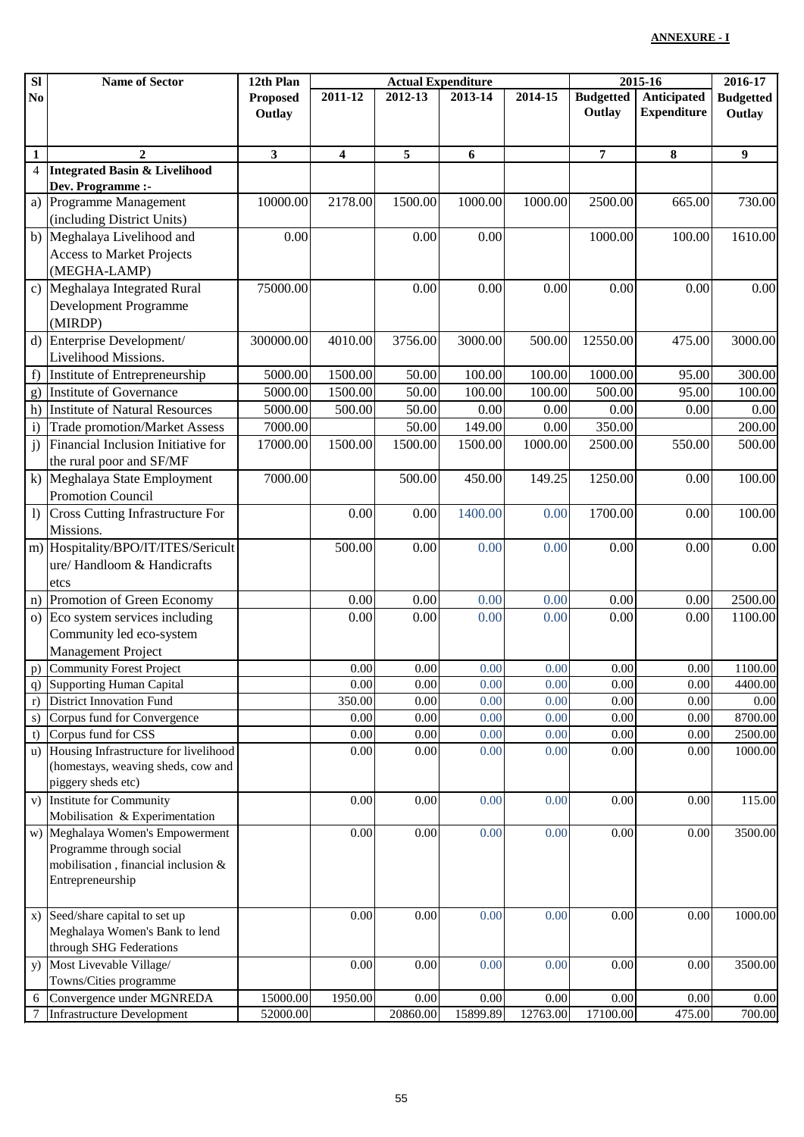| <b>Budgetted</b><br><b>Anticipated</b><br>2011-12<br>2014-15<br>2012-13<br>2013-14<br><b>Budgetted</b><br>No<br><b>Proposed</b><br><b>Expenditure</b><br>Outlay<br>Outlay<br>Outlay<br>$\overline{2}$<br>3<br>5<br>$\overline{7}$<br>8<br>9<br>$\mathbf{1}$<br>4<br>6<br>$\overline{4}$<br><b>Integrated Basin &amp; Livelihood</b><br>Dev. Programme :-<br>10000.00<br>2178.00<br>1500.00<br>1000.00<br>Programme Management<br>1000.00<br>2500.00<br>665.00<br>730.00<br>a)<br>(including District Units)<br>b) Meghalaya Livelihood and<br>0.00<br>0.00<br>0.00<br>1000.00<br>100.00<br>1610.00<br><b>Access to Market Projects</b><br>(MEGHA-LAMP)<br>Meghalaya Integrated Rural<br>75000.00<br>0.00<br>0.00<br>0.00<br>0.00<br>0.00<br>0.00<br>$\mathbf{c})$<br>Development Programme<br>(MIRDP)<br>Enterprise Development/<br>d)<br>300000.00<br>4010.00<br>3756.00<br>3000.00<br>12550.00<br>3000.00<br>500.00<br>475.00<br>Livelihood Missions.<br>Institute of Entrepreneurship<br>5000.00<br>1500.00<br>50.00<br>100.00<br>100.00<br>1000.00<br>95.00<br>f<br>300.00<br><b>Institute of Governance</b><br>5000.00<br>1500.00<br>50.00<br>100.00<br>100.00<br>500.00<br>95.00<br>100.00<br>g)<br>h)<br><b>Institute of Natural Resources</b><br>5000.00<br>500.00<br>50.00<br>0.00<br>0.00<br>0.00<br>0.00<br>0.00<br>7000.00<br>149.00<br>350.00<br>200.00<br>$\mathbf{i}$<br><b>Trade promotion/Market Assess</b><br>50.00<br>0.00<br>j)<br>Financial Inclusion Initiative for<br>17000.00<br>1500.00<br>1500.00<br>1000.00<br>500.00<br>1500.00<br>2500.00<br>550.00<br>the rural poor and SF/MF<br>k) Meghalaya State Employment<br>7000.00<br>1250.00<br>100.00<br>500.00<br>450.00<br>149.25<br>0.00<br><b>Promotion Council</b><br><b>Cross Cutting Infrastructure For</b><br>0.00<br>1400.00<br>1700.00<br>100.00<br>$\left  \right $<br>0.00<br>0.00<br>0.00<br>Missions.<br>m) Hospitality/BPO/IT/ITES/Sericult<br>0.00<br>500.00<br>0.00<br>0.00<br>0.00<br>0.00<br>0.00<br>ure/ Handloom & Handicrafts<br>etcs<br>n) Promotion of Green Economy<br>0.00<br>0.00<br>0.00<br>0.00<br>0.00<br>0.00<br>2500.00<br>o) Eco system services including<br>0.00<br>0.00<br>1100.00<br>0.00<br>0.00<br>0.00<br>0.00<br>Community led eco-system<br>Management Project<br>Community Forest Project<br>0.00<br>0.00<br>0.00<br>1100.00<br>0.00<br>0.00<br>0.00<br>p)<br>0.00<br><b>Supporting Human Capital</b><br>0.00<br>0.00<br>0.00<br>0.00<br>0.00<br>4400.00<br>q)<br><b>District Innovation Fund</b><br>350.00<br>0.00<br>0.00<br>0.00<br>0.00<br>0.00<br>0.00<br>r)<br>8700.00<br>Corpus fund for Convergence<br>0.00<br>0.00<br>0.00<br>0.00<br>0.00<br>0.00<br>s)<br>Corpus fund for CSS<br>0.00<br>0.00<br>0.00<br>0.00<br>0.00<br>0.00<br>2500.00<br>t)<br>Housing Infrastructure for livelihood<br>0.00<br>0.00<br>0.00<br>0.00<br>0.00<br>0.00<br>1000.00<br>$\mathbf{u}$<br>(homestays, weaving sheds, cow and<br>piggery sheds etc)<br><b>Institute for Community</b><br>0.00<br>0.00<br>0.00<br>0.00<br>115.00<br>0.00<br>0.00<br>V)<br>Mobilisation & Experimentation<br>w) Meghalaya Women's Empowerment<br>0.00<br>0.00<br>0.00<br>$0.00\,$<br>3500.00<br>0.00<br>$0.00\,$<br>Programme through social<br>mobilisation, financial inclusion &<br>Entrepreneurship<br>x) Seed/share capital to set up<br>0.00<br>0.00<br>0.00<br>0.00<br>1000.00<br>0.00<br>0.00<br>Meghalaya Women's Bank to lend<br>through SHG Federations<br>y) Most Livevable Village/<br>0.00<br>0.00<br>0.00<br>3500.00<br>0.00<br>0.00<br>0.00<br>Towns/Cities programme<br>Convergence under MGNREDA<br>15000.00<br>1950.00<br>0.00<br>0.00<br>0.00<br>0.00<br>0.00<br>$0.00\,$<br>6<br>15899.89<br>12763.00<br>700.00<br><b>Infrastructure Development</b><br>52000.00<br>20860.00<br>17100.00<br>475.00 | SI | <b>Name of Sector</b> | 12th Plan | <b>Actual Expenditure</b> |  |  |  | 2015-16 | 2016-17 |  |
|----------------------------------------------------------------------------------------------------------------------------------------------------------------------------------------------------------------------------------------------------------------------------------------------------------------------------------------------------------------------------------------------------------------------------------------------------------------------------------------------------------------------------------------------------------------------------------------------------------------------------------------------------------------------------------------------------------------------------------------------------------------------------------------------------------------------------------------------------------------------------------------------------------------------------------------------------------------------------------------------------------------------------------------------------------------------------------------------------------------------------------------------------------------------------------------------------------------------------------------------------------------------------------------------------------------------------------------------------------------------------------------------------------------------------------------------------------------------------------------------------------------------------------------------------------------------------------------------------------------------------------------------------------------------------------------------------------------------------------------------------------------------------------------------------------------------------------------------------------------------------------------------------------------------------------------------------------------------------------------------------------------------------------------------------------------------------------------------------------------------------------------------------------------------------------------------------------------------------------------------------------------------------------------------------------------------------------------------------------------------------------------------------------------------------------------------------------------------------------------------------------------------------------------------------------------------------------------------------------------------------------------------------------------------------------------------------------------------------------------------------------------------------------------------------------------------------------------------------------------------------------------------------------------------------------------------------------------------------------------------------------------------------------------------------------------------------------------------------------------------------------------------------------------------------------------------------------------------------------------------------------------------------------------------------------------------------------------------------------------------------------------------------------------------------------------------------------------------------------------------------------------------------------------------------------------------------------------------------------------------------------------------------------------------------------------------------------------------------------------------------------------------------------------------------------------|----|-----------------------|-----------|---------------------------|--|--|--|---------|---------|--|
|                                                                                                                                                                                                                                                                                                                                                                                                                                                                                                                                                                                                                                                                                                                                                                                                                                                                                                                                                                                                                                                                                                                                                                                                                                                                                                                                                                                                                                                                                                                                                                                                                                                                                                                                                                                                                                                                                                                                                                                                                                                                                                                                                                                                                                                                                                                                                                                                                                                                                                                                                                                                                                                                                                                                                                                                                                                                                                                                                                                                                                                                                                                                                                                                                                                                                                                                                                                                                                                                                                                                                                                                                                                                                                                                                                                                                |    |                       |           |                           |  |  |  |         |         |  |
|                                                                                                                                                                                                                                                                                                                                                                                                                                                                                                                                                                                                                                                                                                                                                                                                                                                                                                                                                                                                                                                                                                                                                                                                                                                                                                                                                                                                                                                                                                                                                                                                                                                                                                                                                                                                                                                                                                                                                                                                                                                                                                                                                                                                                                                                                                                                                                                                                                                                                                                                                                                                                                                                                                                                                                                                                                                                                                                                                                                                                                                                                                                                                                                                                                                                                                                                                                                                                                                                                                                                                                                                                                                                                                                                                                                                                |    |                       |           |                           |  |  |  |         |         |  |
|                                                                                                                                                                                                                                                                                                                                                                                                                                                                                                                                                                                                                                                                                                                                                                                                                                                                                                                                                                                                                                                                                                                                                                                                                                                                                                                                                                                                                                                                                                                                                                                                                                                                                                                                                                                                                                                                                                                                                                                                                                                                                                                                                                                                                                                                                                                                                                                                                                                                                                                                                                                                                                                                                                                                                                                                                                                                                                                                                                                                                                                                                                                                                                                                                                                                                                                                                                                                                                                                                                                                                                                                                                                                                                                                                                                                                |    |                       |           |                           |  |  |  |         |         |  |
|                                                                                                                                                                                                                                                                                                                                                                                                                                                                                                                                                                                                                                                                                                                                                                                                                                                                                                                                                                                                                                                                                                                                                                                                                                                                                                                                                                                                                                                                                                                                                                                                                                                                                                                                                                                                                                                                                                                                                                                                                                                                                                                                                                                                                                                                                                                                                                                                                                                                                                                                                                                                                                                                                                                                                                                                                                                                                                                                                                                                                                                                                                                                                                                                                                                                                                                                                                                                                                                                                                                                                                                                                                                                                                                                                                                                                |    |                       |           |                           |  |  |  |         |         |  |
|                                                                                                                                                                                                                                                                                                                                                                                                                                                                                                                                                                                                                                                                                                                                                                                                                                                                                                                                                                                                                                                                                                                                                                                                                                                                                                                                                                                                                                                                                                                                                                                                                                                                                                                                                                                                                                                                                                                                                                                                                                                                                                                                                                                                                                                                                                                                                                                                                                                                                                                                                                                                                                                                                                                                                                                                                                                                                                                                                                                                                                                                                                                                                                                                                                                                                                                                                                                                                                                                                                                                                                                                                                                                                                                                                                                                                |    |                       |           |                           |  |  |  |         |         |  |
|                                                                                                                                                                                                                                                                                                                                                                                                                                                                                                                                                                                                                                                                                                                                                                                                                                                                                                                                                                                                                                                                                                                                                                                                                                                                                                                                                                                                                                                                                                                                                                                                                                                                                                                                                                                                                                                                                                                                                                                                                                                                                                                                                                                                                                                                                                                                                                                                                                                                                                                                                                                                                                                                                                                                                                                                                                                                                                                                                                                                                                                                                                                                                                                                                                                                                                                                                                                                                                                                                                                                                                                                                                                                                                                                                                                                                |    |                       |           |                           |  |  |  |         |         |  |
|                                                                                                                                                                                                                                                                                                                                                                                                                                                                                                                                                                                                                                                                                                                                                                                                                                                                                                                                                                                                                                                                                                                                                                                                                                                                                                                                                                                                                                                                                                                                                                                                                                                                                                                                                                                                                                                                                                                                                                                                                                                                                                                                                                                                                                                                                                                                                                                                                                                                                                                                                                                                                                                                                                                                                                                                                                                                                                                                                                                                                                                                                                                                                                                                                                                                                                                                                                                                                                                                                                                                                                                                                                                                                                                                                                                                                |    |                       |           |                           |  |  |  |         |         |  |
|                                                                                                                                                                                                                                                                                                                                                                                                                                                                                                                                                                                                                                                                                                                                                                                                                                                                                                                                                                                                                                                                                                                                                                                                                                                                                                                                                                                                                                                                                                                                                                                                                                                                                                                                                                                                                                                                                                                                                                                                                                                                                                                                                                                                                                                                                                                                                                                                                                                                                                                                                                                                                                                                                                                                                                                                                                                                                                                                                                                                                                                                                                                                                                                                                                                                                                                                                                                                                                                                                                                                                                                                                                                                                                                                                                                                                |    |                       |           |                           |  |  |  |         |         |  |
|                                                                                                                                                                                                                                                                                                                                                                                                                                                                                                                                                                                                                                                                                                                                                                                                                                                                                                                                                                                                                                                                                                                                                                                                                                                                                                                                                                                                                                                                                                                                                                                                                                                                                                                                                                                                                                                                                                                                                                                                                                                                                                                                                                                                                                                                                                                                                                                                                                                                                                                                                                                                                                                                                                                                                                                                                                                                                                                                                                                                                                                                                                                                                                                                                                                                                                                                                                                                                                                                                                                                                                                                                                                                                                                                                                                                                |    |                       |           |                           |  |  |  |         |         |  |
|                                                                                                                                                                                                                                                                                                                                                                                                                                                                                                                                                                                                                                                                                                                                                                                                                                                                                                                                                                                                                                                                                                                                                                                                                                                                                                                                                                                                                                                                                                                                                                                                                                                                                                                                                                                                                                                                                                                                                                                                                                                                                                                                                                                                                                                                                                                                                                                                                                                                                                                                                                                                                                                                                                                                                                                                                                                                                                                                                                                                                                                                                                                                                                                                                                                                                                                                                                                                                                                                                                                                                                                                                                                                                                                                                                                                                |    |                       |           |                           |  |  |  |         |         |  |
|                                                                                                                                                                                                                                                                                                                                                                                                                                                                                                                                                                                                                                                                                                                                                                                                                                                                                                                                                                                                                                                                                                                                                                                                                                                                                                                                                                                                                                                                                                                                                                                                                                                                                                                                                                                                                                                                                                                                                                                                                                                                                                                                                                                                                                                                                                                                                                                                                                                                                                                                                                                                                                                                                                                                                                                                                                                                                                                                                                                                                                                                                                                                                                                                                                                                                                                                                                                                                                                                                                                                                                                                                                                                                                                                                                                                                |    |                       |           |                           |  |  |  |         |         |  |
|                                                                                                                                                                                                                                                                                                                                                                                                                                                                                                                                                                                                                                                                                                                                                                                                                                                                                                                                                                                                                                                                                                                                                                                                                                                                                                                                                                                                                                                                                                                                                                                                                                                                                                                                                                                                                                                                                                                                                                                                                                                                                                                                                                                                                                                                                                                                                                                                                                                                                                                                                                                                                                                                                                                                                                                                                                                                                                                                                                                                                                                                                                                                                                                                                                                                                                                                                                                                                                                                                                                                                                                                                                                                                                                                                                                                                |    |                       |           |                           |  |  |  |         |         |  |
|                                                                                                                                                                                                                                                                                                                                                                                                                                                                                                                                                                                                                                                                                                                                                                                                                                                                                                                                                                                                                                                                                                                                                                                                                                                                                                                                                                                                                                                                                                                                                                                                                                                                                                                                                                                                                                                                                                                                                                                                                                                                                                                                                                                                                                                                                                                                                                                                                                                                                                                                                                                                                                                                                                                                                                                                                                                                                                                                                                                                                                                                                                                                                                                                                                                                                                                                                                                                                                                                                                                                                                                                                                                                                                                                                                                                                |    |                       |           |                           |  |  |  |         |         |  |
|                                                                                                                                                                                                                                                                                                                                                                                                                                                                                                                                                                                                                                                                                                                                                                                                                                                                                                                                                                                                                                                                                                                                                                                                                                                                                                                                                                                                                                                                                                                                                                                                                                                                                                                                                                                                                                                                                                                                                                                                                                                                                                                                                                                                                                                                                                                                                                                                                                                                                                                                                                                                                                                                                                                                                                                                                                                                                                                                                                                                                                                                                                                                                                                                                                                                                                                                                                                                                                                                                                                                                                                                                                                                                                                                                                                                                |    |                       |           |                           |  |  |  |         |         |  |
|                                                                                                                                                                                                                                                                                                                                                                                                                                                                                                                                                                                                                                                                                                                                                                                                                                                                                                                                                                                                                                                                                                                                                                                                                                                                                                                                                                                                                                                                                                                                                                                                                                                                                                                                                                                                                                                                                                                                                                                                                                                                                                                                                                                                                                                                                                                                                                                                                                                                                                                                                                                                                                                                                                                                                                                                                                                                                                                                                                                                                                                                                                                                                                                                                                                                                                                                                                                                                                                                                                                                                                                                                                                                                                                                                                                                                |    |                       |           |                           |  |  |  |         |         |  |
|                                                                                                                                                                                                                                                                                                                                                                                                                                                                                                                                                                                                                                                                                                                                                                                                                                                                                                                                                                                                                                                                                                                                                                                                                                                                                                                                                                                                                                                                                                                                                                                                                                                                                                                                                                                                                                                                                                                                                                                                                                                                                                                                                                                                                                                                                                                                                                                                                                                                                                                                                                                                                                                                                                                                                                                                                                                                                                                                                                                                                                                                                                                                                                                                                                                                                                                                                                                                                                                                                                                                                                                                                                                                                                                                                                                                                |    |                       |           |                           |  |  |  |         |         |  |
|                                                                                                                                                                                                                                                                                                                                                                                                                                                                                                                                                                                                                                                                                                                                                                                                                                                                                                                                                                                                                                                                                                                                                                                                                                                                                                                                                                                                                                                                                                                                                                                                                                                                                                                                                                                                                                                                                                                                                                                                                                                                                                                                                                                                                                                                                                                                                                                                                                                                                                                                                                                                                                                                                                                                                                                                                                                                                                                                                                                                                                                                                                                                                                                                                                                                                                                                                                                                                                                                                                                                                                                                                                                                                                                                                                                                                |    |                       |           |                           |  |  |  |         |         |  |
|                                                                                                                                                                                                                                                                                                                                                                                                                                                                                                                                                                                                                                                                                                                                                                                                                                                                                                                                                                                                                                                                                                                                                                                                                                                                                                                                                                                                                                                                                                                                                                                                                                                                                                                                                                                                                                                                                                                                                                                                                                                                                                                                                                                                                                                                                                                                                                                                                                                                                                                                                                                                                                                                                                                                                                                                                                                                                                                                                                                                                                                                                                                                                                                                                                                                                                                                                                                                                                                                                                                                                                                                                                                                                                                                                                                                                |    |                       |           |                           |  |  |  |         |         |  |
|                                                                                                                                                                                                                                                                                                                                                                                                                                                                                                                                                                                                                                                                                                                                                                                                                                                                                                                                                                                                                                                                                                                                                                                                                                                                                                                                                                                                                                                                                                                                                                                                                                                                                                                                                                                                                                                                                                                                                                                                                                                                                                                                                                                                                                                                                                                                                                                                                                                                                                                                                                                                                                                                                                                                                                                                                                                                                                                                                                                                                                                                                                                                                                                                                                                                                                                                                                                                                                                                                                                                                                                                                                                                                                                                                                                                                |    |                       |           |                           |  |  |  |         |         |  |
|                                                                                                                                                                                                                                                                                                                                                                                                                                                                                                                                                                                                                                                                                                                                                                                                                                                                                                                                                                                                                                                                                                                                                                                                                                                                                                                                                                                                                                                                                                                                                                                                                                                                                                                                                                                                                                                                                                                                                                                                                                                                                                                                                                                                                                                                                                                                                                                                                                                                                                                                                                                                                                                                                                                                                                                                                                                                                                                                                                                                                                                                                                                                                                                                                                                                                                                                                                                                                                                                                                                                                                                                                                                                                                                                                                                                                |    |                       |           |                           |  |  |  |         |         |  |
|                                                                                                                                                                                                                                                                                                                                                                                                                                                                                                                                                                                                                                                                                                                                                                                                                                                                                                                                                                                                                                                                                                                                                                                                                                                                                                                                                                                                                                                                                                                                                                                                                                                                                                                                                                                                                                                                                                                                                                                                                                                                                                                                                                                                                                                                                                                                                                                                                                                                                                                                                                                                                                                                                                                                                                                                                                                                                                                                                                                                                                                                                                                                                                                                                                                                                                                                                                                                                                                                                                                                                                                                                                                                                                                                                                                                                |    |                       |           |                           |  |  |  |         |         |  |
|                                                                                                                                                                                                                                                                                                                                                                                                                                                                                                                                                                                                                                                                                                                                                                                                                                                                                                                                                                                                                                                                                                                                                                                                                                                                                                                                                                                                                                                                                                                                                                                                                                                                                                                                                                                                                                                                                                                                                                                                                                                                                                                                                                                                                                                                                                                                                                                                                                                                                                                                                                                                                                                                                                                                                                                                                                                                                                                                                                                                                                                                                                                                                                                                                                                                                                                                                                                                                                                                                                                                                                                                                                                                                                                                                                                                                |    |                       |           |                           |  |  |  |         |         |  |
|                                                                                                                                                                                                                                                                                                                                                                                                                                                                                                                                                                                                                                                                                                                                                                                                                                                                                                                                                                                                                                                                                                                                                                                                                                                                                                                                                                                                                                                                                                                                                                                                                                                                                                                                                                                                                                                                                                                                                                                                                                                                                                                                                                                                                                                                                                                                                                                                                                                                                                                                                                                                                                                                                                                                                                                                                                                                                                                                                                                                                                                                                                                                                                                                                                                                                                                                                                                                                                                                                                                                                                                                                                                                                                                                                                                                                |    |                       |           |                           |  |  |  |         |         |  |
|                                                                                                                                                                                                                                                                                                                                                                                                                                                                                                                                                                                                                                                                                                                                                                                                                                                                                                                                                                                                                                                                                                                                                                                                                                                                                                                                                                                                                                                                                                                                                                                                                                                                                                                                                                                                                                                                                                                                                                                                                                                                                                                                                                                                                                                                                                                                                                                                                                                                                                                                                                                                                                                                                                                                                                                                                                                                                                                                                                                                                                                                                                                                                                                                                                                                                                                                                                                                                                                                                                                                                                                                                                                                                                                                                                                                                |    |                       |           |                           |  |  |  |         |         |  |
|                                                                                                                                                                                                                                                                                                                                                                                                                                                                                                                                                                                                                                                                                                                                                                                                                                                                                                                                                                                                                                                                                                                                                                                                                                                                                                                                                                                                                                                                                                                                                                                                                                                                                                                                                                                                                                                                                                                                                                                                                                                                                                                                                                                                                                                                                                                                                                                                                                                                                                                                                                                                                                                                                                                                                                                                                                                                                                                                                                                                                                                                                                                                                                                                                                                                                                                                                                                                                                                                                                                                                                                                                                                                                                                                                                                                                |    |                       |           |                           |  |  |  |         |         |  |
|                                                                                                                                                                                                                                                                                                                                                                                                                                                                                                                                                                                                                                                                                                                                                                                                                                                                                                                                                                                                                                                                                                                                                                                                                                                                                                                                                                                                                                                                                                                                                                                                                                                                                                                                                                                                                                                                                                                                                                                                                                                                                                                                                                                                                                                                                                                                                                                                                                                                                                                                                                                                                                                                                                                                                                                                                                                                                                                                                                                                                                                                                                                                                                                                                                                                                                                                                                                                                                                                                                                                                                                                                                                                                                                                                                                                                |    |                       |           |                           |  |  |  |         |         |  |
|                                                                                                                                                                                                                                                                                                                                                                                                                                                                                                                                                                                                                                                                                                                                                                                                                                                                                                                                                                                                                                                                                                                                                                                                                                                                                                                                                                                                                                                                                                                                                                                                                                                                                                                                                                                                                                                                                                                                                                                                                                                                                                                                                                                                                                                                                                                                                                                                                                                                                                                                                                                                                                                                                                                                                                                                                                                                                                                                                                                                                                                                                                                                                                                                                                                                                                                                                                                                                                                                                                                                                                                                                                                                                                                                                                                                                |    |                       |           |                           |  |  |  |         |         |  |
|                                                                                                                                                                                                                                                                                                                                                                                                                                                                                                                                                                                                                                                                                                                                                                                                                                                                                                                                                                                                                                                                                                                                                                                                                                                                                                                                                                                                                                                                                                                                                                                                                                                                                                                                                                                                                                                                                                                                                                                                                                                                                                                                                                                                                                                                                                                                                                                                                                                                                                                                                                                                                                                                                                                                                                                                                                                                                                                                                                                                                                                                                                                                                                                                                                                                                                                                                                                                                                                                                                                                                                                                                                                                                                                                                                                                                |    |                       |           |                           |  |  |  |         |         |  |
|                                                                                                                                                                                                                                                                                                                                                                                                                                                                                                                                                                                                                                                                                                                                                                                                                                                                                                                                                                                                                                                                                                                                                                                                                                                                                                                                                                                                                                                                                                                                                                                                                                                                                                                                                                                                                                                                                                                                                                                                                                                                                                                                                                                                                                                                                                                                                                                                                                                                                                                                                                                                                                                                                                                                                                                                                                                                                                                                                                                                                                                                                                                                                                                                                                                                                                                                                                                                                                                                                                                                                                                                                                                                                                                                                                                                                |    |                       |           |                           |  |  |  |         |         |  |
|                                                                                                                                                                                                                                                                                                                                                                                                                                                                                                                                                                                                                                                                                                                                                                                                                                                                                                                                                                                                                                                                                                                                                                                                                                                                                                                                                                                                                                                                                                                                                                                                                                                                                                                                                                                                                                                                                                                                                                                                                                                                                                                                                                                                                                                                                                                                                                                                                                                                                                                                                                                                                                                                                                                                                                                                                                                                                                                                                                                                                                                                                                                                                                                                                                                                                                                                                                                                                                                                                                                                                                                                                                                                                                                                                                                                                |    |                       |           |                           |  |  |  |         |         |  |
|                                                                                                                                                                                                                                                                                                                                                                                                                                                                                                                                                                                                                                                                                                                                                                                                                                                                                                                                                                                                                                                                                                                                                                                                                                                                                                                                                                                                                                                                                                                                                                                                                                                                                                                                                                                                                                                                                                                                                                                                                                                                                                                                                                                                                                                                                                                                                                                                                                                                                                                                                                                                                                                                                                                                                                                                                                                                                                                                                                                                                                                                                                                                                                                                                                                                                                                                                                                                                                                                                                                                                                                                                                                                                                                                                                                                                |    |                       |           |                           |  |  |  |         |         |  |
|                                                                                                                                                                                                                                                                                                                                                                                                                                                                                                                                                                                                                                                                                                                                                                                                                                                                                                                                                                                                                                                                                                                                                                                                                                                                                                                                                                                                                                                                                                                                                                                                                                                                                                                                                                                                                                                                                                                                                                                                                                                                                                                                                                                                                                                                                                                                                                                                                                                                                                                                                                                                                                                                                                                                                                                                                                                                                                                                                                                                                                                                                                                                                                                                                                                                                                                                                                                                                                                                                                                                                                                                                                                                                                                                                                                                                |    |                       |           |                           |  |  |  |         |         |  |
|                                                                                                                                                                                                                                                                                                                                                                                                                                                                                                                                                                                                                                                                                                                                                                                                                                                                                                                                                                                                                                                                                                                                                                                                                                                                                                                                                                                                                                                                                                                                                                                                                                                                                                                                                                                                                                                                                                                                                                                                                                                                                                                                                                                                                                                                                                                                                                                                                                                                                                                                                                                                                                                                                                                                                                                                                                                                                                                                                                                                                                                                                                                                                                                                                                                                                                                                                                                                                                                                                                                                                                                                                                                                                                                                                                                                                |    |                       |           |                           |  |  |  |         |         |  |
|                                                                                                                                                                                                                                                                                                                                                                                                                                                                                                                                                                                                                                                                                                                                                                                                                                                                                                                                                                                                                                                                                                                                                                                                                                                                                                                                                                                                                                                                                                                                                                                                                                                                                                                                                                                                                                                                                                                                                                                                                                                                                                                                                                                                                                                                                                                                                                                                                                                                                                                                                                                                                                                                                                                                                                                                                                                                                                                                                                                                                                                                                                                                                                                                                                                                                                                                                                                                                                                                                                                                                                                                                                                                                                                                                                                                                |    |                       |           |                           |  |  |  |         |         |  |
|                                                                                                                                                                                                                                                                                                                                                                                                                                                                                                                                                                                                                                                                                                                                                                                                                                                                                                                                                                                                                                                                                                                                                                                                                                                                                                                                                                                                                                                                                                                                                                                                                                                                                                                                                                                                                                                                                                                                                                                                                                                                                                                                                                                                                                                                                                                                                                                                                                                                                                                                                                                                                                                                                                                                                                                                                                                                                                                                                                                                                                                                                                                                                                                                                                                                                                                                                                                                                                                                                                                                                                                                                                                                                                                                                                                                                |    |                       |           |                           |  |  |  |         |         |  |
|                                                                                                                                                                                                                                                                                                                                                                                                                                                                                                                                                                                                                                                                                                                                                                                                                                                                                                                                                                                                                                                                                                                                                                                                                                                                                                                                                                                                                                                                                                                                                                                                                                                                                                                                                                                                                                                                                                                                                                                                                                                                                                                                                                                                                                                                                                                                                                                                                                                                                                                                                                                                                                                                                                                                                                                                                                                                                                                                                                                                                                                                                                                                                                                                                                                                                                                                                                                                                                                                                                                                                                                                                                                                                                                                                                                                                |    |                       |           |                           |  |  |  |         |         |  |
|                                                                                                                                                                                                                                                                                                                                                                                                                                                                                                                                                                                                                                                                                                                                                                                                                                                                                                                                                                                                                                                                                                                                                                                                                                                                                                                                                                                                                                                                                                                                                                                                                                                                                                                                                                                                                                                                                                                                                                                                                                                                                                                                                                                                                                                                                                                                                                                                                                                                                                                                                                                                                                                                                                                                                                                                                                                                                                                                                                                                                                                                                                                                                                                                                                                                                                                                                                                                                                                                                                                                                                                                                                                                                                                                                                                                                |    |                       |           |                           |  |  |  |         |         |  |
|                                                                                                                                                                                                                                                                                                                                                                                                                                                                                                                                                                                                                                                                                                                                                                                                                                                                                                                                                                                                                                                                                                                                                                                                                                                                                                                                                                                                                                                                                                                                                                                                                                                                                                                                                                                                                                                                                                                                                                                                                                                                                                                                                                                                                                                                                                                                                                                                                                                                                                                                                                                                                                                                                                                                                                                                                                                                                                                                                                                                                                                                                                                                                                                                                                                                                                                                                                                                                                                                                                                                                                                                                                                                                                                                                                                                                |    |                       |           |                           |  |  |  |         |         |  |
|                                                                                                                                                                                                                                                                                                                                                                                                                                                                                                                                                                                                                                                                                                                                                                                                                                                                                                                                                                                                                                                                                                                                                                                                                                                                                                                                                                                                                                                                                                                                                                                                                                                                                                                                                                                                                                                                                                                                                                                                                                                                                                                                                                                                                                                                                                                                                                                                                                                                                                                                                                                                                                                                                                                                                                                                                                                                                                                                                                                                                                                                                                                                                                                                                                                                                                                                                                                                                                                                                                                                                                                                                                                                                                                                                                                                                |    |                       |           |                           |  |  |  |         |         |  |
|                                                                                                                                                                                                                                                                                                                                                                                                                                                                                                                                                                                                                                                                                                                                                                                                                                                                                                                                                                                                                                                                                                                                                                                                                                                                                                                                                                                                                                                                                                                                                                                                                                                                                                                                                                                                                                                                                                                                                                                                                                                                                                                                                                                                                                                                                                                                                                                                                                                                                                                                                                                                                                                                                                                                                                                                                                                                                                                                                                                                                                                                                                                                                                                                                                                                                                                                                                                                                                                                                                                                                                                                                                                                                                                                                                                                                |    |                       |           |                           |  |  |  |         |         |  |
|                                                                                                                                                                                                                                                                                                                                                                                                                                                                                                                                                                                                                                                                                                                                                                                                                                                                                                                                                                                                                                                                                                                                                                                                                                                                                                                                                                                                                                                                                                                                                                                                                                                                                                                                                                                                                                                                                                                                                                                                                                                                                                                                                                                                                                                                                                                                                                                                                                                                                                                                                                                                                                                                                                                                                                                                                                                                                                                                                                                                                                                                                                                                                                                                                                                                                                                                                                                                                                                                                                                                                                                                                                                                                                                                                                                                                |    |                       |           |                           |  |  |  |         |         |  |
|                                                                                                                                                                                                                                                                                                                                                                                                                                                                                                                                                                                                                                                                                                                                                                                                                                                                                                                                                                                                                                                                                                                                                                                                                                                                                                                                                                                                                                                                                                                                                                                                                                                                                                                                                                                                                                                                                                                                                                                                                                                                                                                                                                                                                                                                                                                                                                                                                                                                                                                                                                                                                                                                                                                                                                                                                                                                                                                                                                                                                                                                                                                                                                                                                                                                                                                                                                                                                                                                                                                                                                                                                                                                                                                                                                                                                |    |                       |           |                           |  |  |  |         |         |  |
|                                                                                                                                                                                                                                                                                                                                                                                                                                                                                                                                                                                                                                                                                                                                                                                                                                                                                                                                                                                                                                                                                                                                                                                                                                                                                                                                                                                                                                                                                                                                                                                                                                                                                                                                                                                                                                                                                                                                                                                                                                                                                                                                                                                                                                                                                                                                                                                                                                                                                                                                                                                                                                                                                                                                                                                                                                                                                                                                                                                                                                                                                                                                                                                                                                                                                                                                                                                                                                                                                                                                                                                                                                                                                                                                                                                                                |    |                       |           |                           |  |  |  |         |         |  |
|                                                                                                                                                                                                                                                                                                                                                                                                                                                                                                                                                                                                                                                                                                                                                                                                                                                                                                                                                                                                                                                                                                                                                                                                                                                                                                                                                                                                                                                                                                                                                                                                                                                                                                                                                                                                                                                                                                                                                                                                                                                                                                                                                                                                                                                                                                                                                                                                                                                                                                                                                                                                                                                                                                                                                                                                                                                                                                                                                                                                                                                                                                                                                                                                                                                                                                                                                                                                                                                                                                                                                                                                                                                                                                                                                                                                                |    |                       |           |                           |  |  |  |         |         |  |
|                                                                                                                                                                                                                                                                                                                                                                                                                                                                                                                                                                                                                                                                                                                                                                                                                                                                                                                                                                                                                                                                                                                                                                                                                                                                                                                                                                                                                                                                                                                                                                                                                                                                                                                                                                                                                                                                                                                                                                                                                                                                                                                                                                                                                                                                                                                                                                                                                                                                                                                                                                                                                                                                                                                                                                                                                                                                                                                                                                                                                                                                                                                                                                                                                                                                                                                                                                                                                                                                                                                                                                                                                                                                                                                                                                                                                |    |                       |           |                           |  |  |  |         |         |  |
|                                                                                                                                                                                                                                                                                                                                                                                                                                                                                                                                                                                                                                                                                                                                                                                                                                                                                                                                                                                                                                                                                                                                                                                                                                                                                                                                                                                                                                                                                                                                                                                                                                                                                                                                                                                                                                                                                                                                                                                                                                                                                                                                                                                                                                                                                                                                                                                                                                                                                                                                                                                                                                                                                                                                                                                                                                                                                                                                                                                                                                                                                                                                                                                                                                                                                                                                                                                                                                                                                                                                                                                                                                                                                                                                                                                                                |    |                       |           |                           |  |  |  |         |         |  |
|                                                                                                                                                                                                                                                                                                                                                                                                                                                                                                                                                                                                                                                                                                                                                                                                                                                                                                                                                                                                                                                                                                                                                                                                                                                                                                                                                                                                                                                                                                                                                                                                                                                                                                                                                                                                                                                                                                                                                                                                                                                                                                                                                                                                                                                                                                                                                                                                                                                                                                                                                                                                                                                                                                                                                                                                                                                                                                                                                                                                                                                                                                                                                                                                                                                                                                                                                                                                                                                                                                                                                                                                                                                                                                                                                                                                                |    |                       |           |                           |  |  |  |         |         |  |
|                                                                                                                                                                                                                                                                                                                                                                                                                                                                                                                                                                                                                                                                                                                                                                                                                                                                                                                                                                                                                                                                                                                                                                                                                                                                                                                                                                                                                                                                                                                                                                                                                                                                                                                                                                                                                                                                                                                                                                                                                                                                                                                                                                                                                                                                                                                                                                                                                                                                                                                                                                                                                                                                                                                                                                                                                                                                                                                                                                                                                                                                                                                                                                                                                                                                                                                                                                                                                                                                                                                                                                                                                                                                                                                                                                                                                |    |                       |           |                           |  |  |  |         |         |  |
|                                                                                                                                                                                                                                                                                                                                                                                                                                                                                                                                                                                                                                                                                                                                                                                                                                                                                                                                                                                                                                                                                                                                                                                                                                                                                                                                                                                                                                                                                                                                                                                                                                                                                                                                                                                                                                                                                                                                                                                                                                                                                                                                                                                                                                                                                                                                                                                                                                                                                                                                                                                                                                                                                                                                                                                                                                                                                                                                                                                                                                                                                                                                                                                                                                                                                                                                                                                                                                                                                                                                                                                                                                                                                                                                                                                                                |    |                       |           |                           |  |  |  |         |         |  |
|                                                                                                                                                                                                                                                                                                                                                                                                                                                                                                                                                                                                                                                                                                                                                                                                                                                                                                                                                                                                                                                                                                                                                                                                                                                                                                                                                                                                                                                                                                                                                                                                                                                                                                                                                                                                                                                                                                                                                                                                                                                                                                                                                                                                                                                                                                                                                                                                                                                                                                                                                                                                                                                                                                                                                                                                                                                                                                                                                                                                                                                                                                                                                                                                                                                                                                                                                                                                                                                                                                                                                                                                                                                                                                                                                                                                                |    |                       |           |                           |  |  |  |         |         |  |
|                                                                                                                                                                                                                                                                                                                                                                                                                                                                                                                                                                                                                                                                                                                                                                                                                                                                                                                                                                                                                                                                                                                                                                                                                                                                                                                                                                                                                                                                                                                                                                                                                                                                                                                                                                                                                                                                                                                                                                                                                                                                                                                                                                                                                                                                                                                                                                                                                                                                                                                                                                                                                                                                                                                                                                                                                                                                                                                                                                                                                                                                                                                                                                                                                                                                                                                                                                                                                                                                                                                                                                                                                                                                                                                                                                                                                |    |                       |           |                           |  |  |  |         |         |  |
|                                                                                                                                                                                                                                                                                                                                                                                                                                                                                                                                                                                                                                                                                                                                                                                                                                                                                                                                                                                                                                                                                                                                                                                                                                                                                                                                                                                                                                                                                                                                                                                                                                                                                                                                                                                                                                                                                                                                                                                                                                                                                                                                                                                                                                                                                                                                                                                                                                                                                                                                                                                                                                                                                                                                                                                                                                                                                                                                                                                                                                                                                                                                                                                                                                                                                                                                                                                                                                                                                                                                                                                                                                                                                                                                                                                                                |    |                       |           |                           |  |  |  |         |         |  |
|                                                                                                                                                                                                                                                                                                                                                                                                                                                                                                                                                                                                                                                                                                                                                                                                                                                                                                                                                                                                                                                                                                                                                                                                                                                                                                                                                                                                                                                                                                                                                                                                                                                                                                                                                                                                                                                                                                                                                                                                                                                                                                                                                                                                                                                                                                                                                                                                                                                                                                                                                                                                                                                                                                                                                                                                                                                                                                                                                                                                                                                                                                                                                                                                                                                                                                                                                                                                                                                                                                                                                                                                                                                                                                                                                                                                                |    |                       |           |                           |  |  |  |         |         |  |
|                                                                                                                                                                                                                                                                                                                                                                                                                                                                                                                                                                                                                                                                                                                                                                                                                                                                                                                                                                                                                                                                                                                                                                                                                                                                                                                                                                                                                                                                                                                                                                                                                                                                                                                                                                                                                                                                                                                                                                                                                                                                                                                                                                                                                                                                                                                                                                                                                                                                                                                                                                                                                                                                                                                                                                                                                                                                                                                                                                                                                                                                                                                                                                                                                                                                                                                                                                                                                                                                                                                                                                                                                                                                                                                                                                                                                |    |                       |           |                           |  |  |  |         |         |  |
|                                                                                                                                                                                                                                                                                                                                                                                                                                                                                                                                                                                                                                                                                                                                                                                                                                                                                                                                                                                                                                                                                                                                                                                                                                                                                                                                                                                                                                                                                                                                                                                                                                                                                                                                                                                                                                                                                                                                                                                                                                                                                                                                                                                                                                                                                                                                                                                                                                                                                                                                                                                                                                                                                                                                                                                                                                                                                                                                                                                                                                                                                                                                                                                                                                                                                                                                                                                                                                                                                                                                                                                                                                                                                                                                                                                                                |    |                       |           |                           |  |  |  |         |         |  |
|                                                                                                                                                                                                                                                                                                                                                                                                                                                                                                                                                                                                                                                                                                                                                                                                                                                                                                                                                                                                                                                                                                                                                                                                                                                                                                                                                                                                                                                                                                                                                                                                                                                                                                                                                                                                                                                                                                                                                                                                                                                                                                                                                                                                                                                                                                                                                                                                                                                                                                                                                                                                                                                                                                                                                                                                                                                                                                                                                                                                                                                                                                                                                                                                                                                                                                                                                                                                                                                                                                                                                                                                                                                                                                                                                                                                                |    |                       |           |                           |  |  |  |         |         |  |
|                                                                                                                                                                                                                                                                                                                                                                                                                                                                                                                                                                                                                                                                                                                                                                                                                                                                                                                                                                                                                                                                                                                                                                                                                                                                                                                                                                                                                                                                                                                                                                                                                                                                                                                                                                                                                                                                                                                                                                                                                                                                                                                                                                                                                                                                                                                                                                                                                                                                                                                                                                                                                                                                                                                                                                                                                                                                                                                                                                                                                                                                                                                                                                                                                                                                                                                                                                                                                                                                                                                                                                                                                                                                                                                                                                                                                |    |                       |           |                           |  |  |  |         |         |  |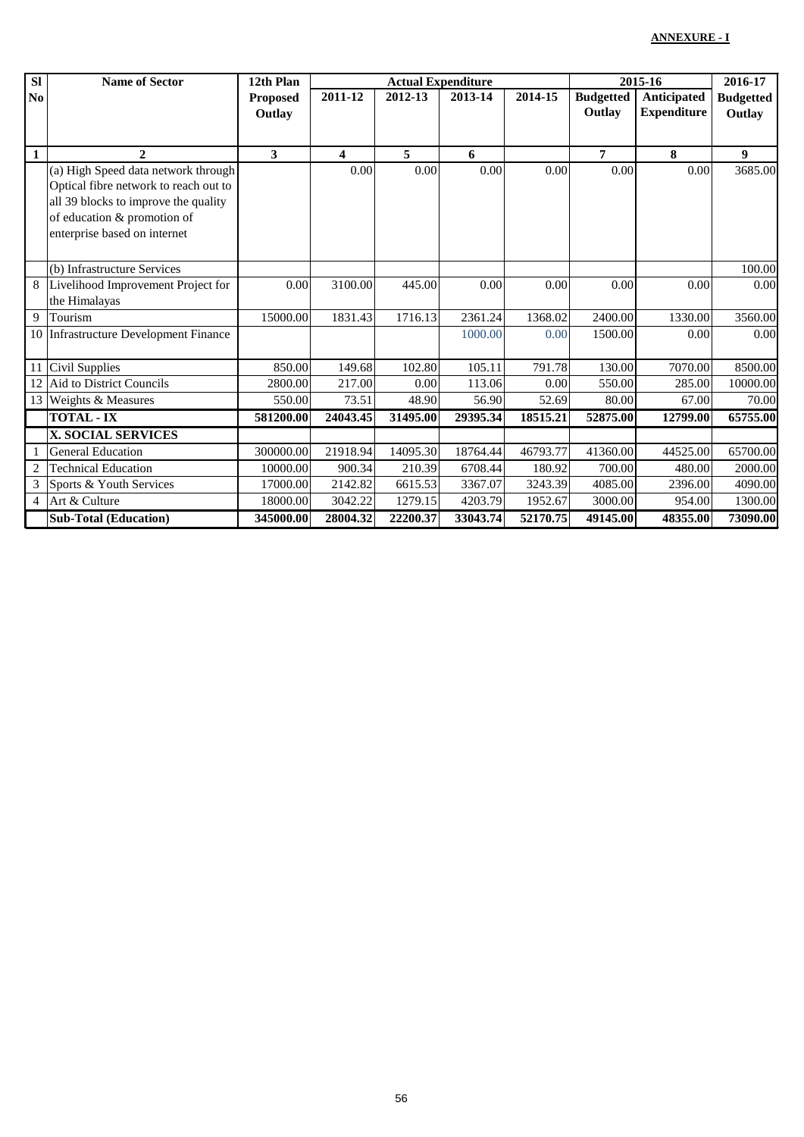| <b>SI</b>      | <b>Name of Sector</b>                                                                                                                                                               | 12th Plan                 |          | <b>Actual Expenditure</b> |          | 2015-16  |                            | 2016-17                           |                            |
|----------------|-------------------------------------------------------------------------------------------------------------------------------------------------------------------------------------|---------------------------|----------|---------------------------|----------|----------|----------------------------|-----------------------------------|----------------------------|
| No             |                                                                                                                                                                                     | <b>Proposed</b><br>Outlay | 2011-12  | 2012-13                   | 2013-14  | 2014-15  | <b>Budgetted</b><br>Outlay | Anticipated<br><b>Expenditure</b> | <b>Budgetted</b><br>Outlay |
| $\mathbf{1}$   | $\mathbf{2}$                                                                                                                                                                        | 3                         | 4        | 5                         | 6        |          | 7                          | 8                                 | 9                          |
|                | (a) High Speed data network through<br>Optical fibre network to reach out to<br>all 39 blocks to improve the quality<br>of education & promotion of<br>enterprise based on internet |                           | 0.00     | 0.00                      | 0.00     | 0.00     | 0.00                       | 0.00                              | 3685.00                    |
|                | (b) Infrastructure Services                                                                                                                                                         |                           |          |                           |          |          |                            |                                   | 100.00                     |
| 8              | Livelihood Improvement Project for<br>the Himalayas                                                                                                                                 | 0.00                      | 3100.00  | 445.00                    | 0.00     | 0.00     | 0.00                       | 0.00                              | 0.00                       |
| $\overline{9}$ | Tourism                                                                                                                                                                             | 15000.00                  | 1831.43  | 1716.13                   | 2361.24  | 1368.02  | 2400.00                    | 1330.00                           | 3560.00                    |
|                | 10 Infrastructure Development Finance                                                                                                                                               |                           |          |                           | 1000.00  | 0.00     | 1500.00                    | 0.00                              | 0.00                       |
| 11             | Civil Supplies                                                                                                                                                                      | 850.00                    | 149.68   | 102.80                    | 105.11   | 791.78   | 130.00                     | 7070.00                           | 8500.00                    |
| 12             | Aid to District Councils                                                                                                                                                            | 2800.00                   | 217.00   | 0.00                      | 113.06   | 0.00     | 550.00                     | 285.00                            | 10000.00                   |
| 13             | Weights & Measures                                                                                                                                                                  | 550.00                    | 73.51    | 48.90                     | 56.90    | 52.69    | 80.00                      | 67.00                             | 70.00                      |
|                | <b>TOTAL - IX</b>                                                                                                                                                                   | 581200.00                 | 24043.45 | 31495.00                  | 29395.34 | 18515.21 | 52875.00                   | 12799.00                          | 65755.00                   |
|                | <b>X. SOCIAL SERVICES</b>                                                                                                                                                           |                           |          |                           |          |          |                            |                                   |                            |
|                | <b>General Education</b>                                                                                                                                                            | 300000.00                 | 21918.94 | 14095.30                  | 18764.44 | 46793.77 | 41360.00                   | 44525.00                          | 65700.00                   |
| $\sqrt{2}$     | <b>Technical Education</b>                                                                                                                                                          | 10000.00                  | 900.34   | 210.39                    | 6708.44  | 180.92   | 700.00                     | 480.00                            | 2000.00                    |
| 3              | Sports & Youth Services                                                                                                                                                             | 17000.00                  | 2142.82  | 6615.53                   | 3367.07  | 3243.39  | 4085.00                    | 2396.00                           | 4090.00                    |
| $\overline{4}$ | Art & Culture                                                                                                                                                                       | 18000.00                  | 3042.22  | 1279.15                   | 4203.79  | 1952.67  | 3000.00                    | 954.00                            | 1300.00                    |
|                | <b>Sub-Total (Education)</b>                                                                                                                                                        | 345000.00                 | 28004.32 | 22200.37                  | 33043.74 | 52170.75 | 49145.00                   | 48355.00                          | 73090.00                   |